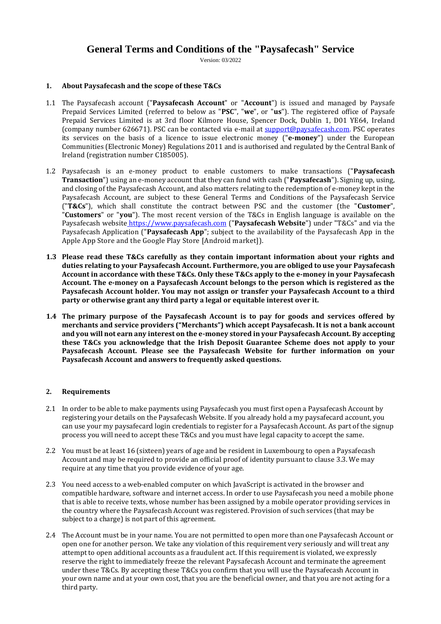# **General Terms and Conditions of the "Paysafecash" Service**

Version: 03/2022

## **1. About Paysafecash and the scope of these T&Cs**

- 1.1 The Paysafecash account ("**Paysafecash Account**" or "**Account**") is issued and managed by Paysafe Prepaid Services Limited (referred to below as "**PSC**", "**we**", or "**us**"). The registered office of Paysafe Prepaid Services Limited is at 3rd floor Kilmore House, Spencer Dock, Dublin 1, D01 YE64, Ireland (company number 626671). PSC can be contacted via e-mail at [support@paysafecash.com.](mailto:support@paysafecash.com) PSC operates its services on the basis of a licence to issue electronic money ("**e-money**") under the European Communities (Electronic Money) Regulations 2011 and is authorised and regulated by the Central Bank of Ireland (registration number C185005).
- 1.2 Paysafecash is an e-money product to enable customers to make transactions ("**Paysafecash Transaction**") using an e-money account that they can fund with cash ("**Paysafecash**"). Signing up, using, and closing of the Paysafecash Account, and also matters relating to the redemption of e-money kept in the Paysafecash Account, are subject to these General Terms and Conditions of the Paysafecash Service ("**T&Cs**"), which shall constitute the contract between PSC and the customer (the "**Customer**", "**Customers**" or "**you**"). The most recent version of the T&Cs in English language is available on the Paysafecash website [https://www.paysafecash.com](https://www.paysafecash.com/) ("**Paysafecash Website**") under "T&Cs" and via the Paysafecash Application ("**Paysafecash App**"; subject to the availability of the Paysafecash App in the Apple App Store and the Google Play Store [Android market]).
- **1.3 Please read these T&Cs carefully as they contain important information about your rights and duties relating to your Paysafecash Account. Furthermore, you are obliged to use your Paysafecash Account in accordance with these T&Cs. Only these T&Cs apply to the e-money in your Paysafecash Account. The e-money on a Paysafecash Account belongs to the person which is registered as the Paysafecash Account holder. You may not assign or transfer your Paysafecash Account to a third party or otherwise grant any third party a legal or equitable interest over it.**
- **1.4 The primary purpose of the Paysafecash Account is to pay for goods and services offered by merchants and service providers ("Merchants") which accept Paysafecash. It is not a bank account and you will not earn any interest on the e-money stored in your Paysafecash Account. By accepting these T&Cs you acknowledge that the Irish Deposit Guarantee Scheme does not apply to your Paysafecash Account. Please see the Paysafecash Website for further information on your Paysafecash Account and answers to frequently asked questions.**

# **2. Requirements**

- 2.1 In order to be able to make payments using Paysafecash you must first open a Paysafecash Account by registering your details on the Paysafecash Website. If you already hold a my paysafecard account, you can use your my paysafecard login credentials to register for a Paysafecash Account. As part of the signup process you will need to accept these T&Cs and you must have legal capacity to accept the same.
- 2.2 You must be at least 16 (sixteen) years of age and be resident in Luxembourg to open a Paysafecash Account and may be required to provide an official proof of identity pursuant to clause 3.3. We may require at any time that you provide evidence of your age.
- 2.3 You need access to a web-enabled computer on which JavaScript is activated in the browser and compatible hardware, software and internet access. In order to use Paysafecash you need a mobile phone that is able to receive texts, whose number has been assigned by a mobile operator providing services in the country where the Paysafecash Account was registered. Provision of such services (that may be subject to a charge) is not part of this agreement.
- 2.4 The Account must be in your name. You are not permitted to open more than one Paysafecash Account or open one for another person. We take any violation of this requirement very seriously and will treat any attempt to open additional accounts as a fraudulent act. If this requirement is violated, we expressly reserve the right to immediately freeze the relevant Paysafecash Account and terminate the agreement under these T&Cs. By accepting these T&Cs you confirm that you will use the Paysafecash Account in your own name and at your own cost, that you are the beneficial owner, and that you are not acting for a third party.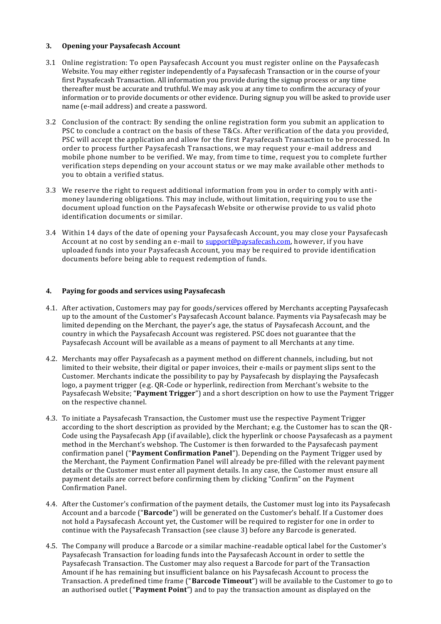## <span id="page-1-0"></span>**3. Opening your Paysafecash Account**

- 3.1 Online registration: To open Paysafecash Account you must register online on the Paysafecash Website. You may either register independently of a Paysafecash Transaction or in the course of your first Paysafecash Transaction. All information you provide during the signup process or any time thereafter must be accurate and truthful. We may ask you at any time to confirm the accuracy of your information or to provide documents or other evidence. During signup you will be asked to provide user name (e-mail address) and create a password.
- 3.2 Conclusion of the contract: By sending the online registration form you submit an application to PSC to conclude a contract on the basis of these T&Cs. After verification of the data you provided, PSC will accept the application and allow for the first Paysafecash Transaction to be processed. In order to process further Paysafecash Transactions, we may request your e-mail address and mobile phone number to be verified. We may, from time to time, request you to complete further verification steps depending on your account status or we may make available other methods to you to obtain a verified status.
- 3.3 We reserve the right to request additional information from you in order to comply with antimoney laundering obligations. This may include, without limitation, requiring you to use the document upload function on the Paysafecash Website or otherwise provide to us valid photo identification documents or similar.
- 3.4 Within 14 days of the date of opening your Paysafecash Account, you may close your Paysafecash Account at no cost by sending an e-mail to [support@paysafecash.com,](mailto:support@paysafecash.com) however, if you have uploaded funds into your Paysafecash Account, you may be required to provide identification documents before being able to request redemption of funds.

#### **4. Paying for goods and services using Paysafecash**

- 4.1. After activation, Customers may pay for goods/services offered by Merchants accepting Paysafecash up to the amount of the Customer's Paysafecash Account balance. Payments via Paysafecash may be limited depending on the Merchant, the payer's age, the status of Paysafecash Account, and the country in which the Paysafecash Account was registered. PSC does not guarantee that the Paysafecash Account will be available as a means of payment to all Merchants at any time.
- 4.2. Merchants may offer Paysafecash as a payment method on different channels, including, but not limited to their website, their digital or paper invoices, their e-mails or payment slips sent to the Customer. Merchants indicate the possibility to pay by Paysafecash by displaying the Paysafecash logo, a payment trigger (e.g. QR-Code or hyperlink, redirection from Merchant's website to the Paysafecash Website; "**Payment Trigger**") and a short description on how to use the Payment Trigger on the respective channel.
- 4.3. To initiate a Paysafecash Transaction, the Customer must use the respective Payment Trigger according to the short description as provided by the Merchant; e.g. the Customer has to scan the QR-Code using the Paysafecash App (if available), click the hyperlink or choose Paysafecash as a payment method in the Merchant's webshop. The Customer is then forwarded to the Paysafecash payment confirmation panel ("**Payment Confirmation Panel**"). Depending on the Payment Trigger used by the Merchant, the Payment Confirmation Panel will already be pre-filled with the relevant payment details or the Customer must enter all payment details. In any case, the Customer must ensure all payment details are correct before confirming them by clicking "Confirm" on the Payment Confirmation Panel.
- 4.4. After the Customer's confirmation of the payment details, the Customer must log into its Paysafecash Account and a barcode ("**Barcode**") will be generated on the Customer's behalf. If a Customer does not hold a Paysafecash Account yet, the Customer will be required to register for one in order to continue with the Paysafecash Transaction (see clause [3\)](#page-1-0) before any Barcode is generated.
- 4.5. The Company will produce a Barcode or a similar machine-readable optical label for the Customer's Paysafecash Transaction for loading funds into the Paysafecash Account in order to settle the Paysafecash Transaction. The Customer may also request a Barcode for part of the Transaction Amount if he has remaining but insufficient balance on his Paysafecash Account to process the Transaction. A predefined time frame ("**Barcode Timeout**") will be available to the Customer to go to an authorised outlet ("**Payment Point**") and to pay the transaction amount as displayed on the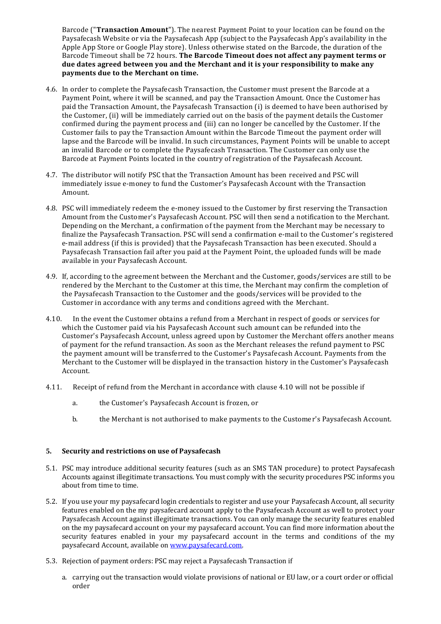Barcode ("**Transaction Amount**"). The nearest Payment Point to your location can be found on the Paysafecash Website or via the Paysafecash App (subject to the Paysafecash App's availability in the Apple App Store or Google Play store). Unless otherwise stated on the Barcode, the duration of the Barcode Timeout shall be 72 hours. **The Barcode Timeout does not affect any payment terms or due dates agreed between you and the Merchant and it is your responsibility to make any payments due to the Merchant on time.** 

- 4.6. In order to complete the Paysafecash Transaction, the Customer must present the Barcode at a Payment Point, where it will be scanned, and pay the Transaction Amount. Once the Customer has paid the Transaction Amount, the Paysafecash Transaction (i) is deemed to have been authorised by the Customer, (ii) will be immediately carried out on the basis of the payment details the Customer confirmed during the payment process and (iii) can no longer be cancelled by the Customer. If the Customer fails to pay the Transaction Amount within the Barcode Timeout the payment order will lapse and the Barcode will be invalid. In such circumstances, Payment Points will be unable to accept an invalid Barcode or to complete the Paysafecash Transaction. The Customer can only use the Barcode at Payment Points located in the country of registration of the Paysafecash Account.
- 4.7. The distributor will notify PSC that the Transaction Amount has been received and PSC will immediately issue e-money to fund the Customer's Paysafecash Account with the Transaction Amount.
- 4.8. PSC will immediately redeem the e-money issued to the Customer by first reserving the Transaction Amount from the Customer's Paysafecash Account. PSC will then send a notification to the Merchant. Depending on the Merchant, a confirmation of the payment from the Merchant may be necessary to finalize the Paysafecash Transaction. PSC will send a confirmation e-mail to the Customer's registered e-mail address (if this is provided) that the Paysafecash Transaction has been executed. Should a Paysafecash Transaction fail after you paid at the Payment Point, the uploaded funds will be made available in your Paysafecash Account.
- 4.9. If, according to the agreement between the Merchant and the Customer, goods/services are still to be rendered by the Merchant to the Customer at this time, the Merchant may confirm the completion of the Paysafecash Transaction to the Customer and the goods/services will be provided to the Customer in accordance with any terms and conditions agreed with the Merchant.
- <span id="page-2-0"></span>4.10. In the event the Customer obtains a refund from a Merchant in respect of goods or services for which the Customer paid via his Paysafecash Account such amount can be refunded into the Customer's Paysafecash Account, unless agreed upon by Customer the Merchant offers another means of payment for the refund transaction. As soon as the Merchant releases the refund payment to PSC the payment amount will be transferred to the Customer's Paysafecash Account. Payments from the Merchant to the Customer will be displayed in the transaction history in the Customer's Paysafecash Account.
- 4.11. Receipt of refund from the Merchant in accordance with clause [4.10](#page-2-0) will not be possible if
	- a. the Customer's Paysafecash Account is frozen, or
	- b. the Merchant is not authorised to make payments to the Customer's Paysafecash Account.

#### **5. Security and restrictions on use of Paysafecash**

- 5.1. PSC may introduce additional security features (such as an SMS TAN procedure) to protect Paysafecash Accounts against illegitimate transactions. You must comply with the security procedures PSC informs you about from time to time.
- 5.2. If you use your my paysafecard login credentials to register and use your Paysafecash Account, all security features enabled on the my paysafecard account apply to the Paysafecash Account as well to protect your Paysafecash Account against illegitimate transactions. You can only manage the security features enabled on the my paysafecard account on your my paysafecard account. You can find more information about the security features enabled in your my paysafecard account in the terms and conditions of the my paysafecard Account, available on [www.paysafecard.com.](http://www.paysafecard.com/)
- 5.3. Rejection of payment orders: PSC may reject a Paysafecash Transaction if
	- a. carrying out the transaction would violate provisions of national or EU law, or a court order or official order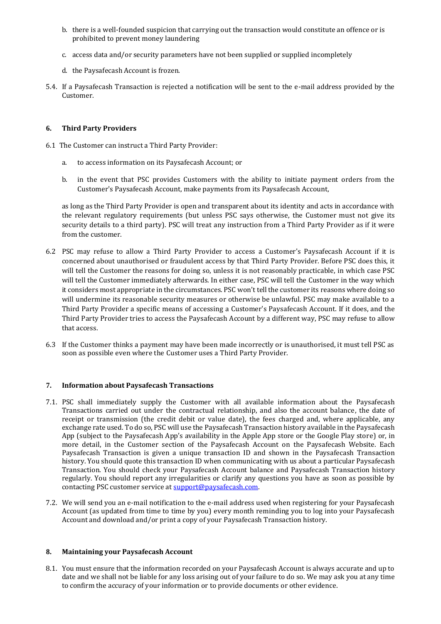- b. there is a well-founded suspicion that carrying out the transaction would constitute an offence or is prohibited to prevent money laundering
- c. access data and/or security parameters have not been supplied or supplied incompletely
- d. the Paysafecash Account is frozen.
- 5.4. If a Paysafecash Transaction is rejected a notification will be sent to the e-mail address provided by the Customer.

# **6. Third Party Providers**

- 6.1 The Customer can instruct a Third Party Provider:
	- a. to access information on its Paysafecash Account; or
	- b. in the event that PSC provides Customers with the ability to initiate payment orders from the Customer's Paysafecash Account, make payments from its Paysafecash Account,

as long as the Third Party Provider is open and transparent about its identity and acts in accordance with the relevant regulatory requirements (but unless PSC says otherwise, the Customer must not give its security details to a third party). PSC will treat any instruction from a Third Party Provider as if it were from the customer.

- 6.2 PSC may refuse to allow a Third Party Provider to access a Customer's Paysafecash Account if it is concerned about unauthorised or fraudulent access by that Third Party Provider. Before PSC does this, it will tell the Customer the reasons for doing so, unless it is not reasonably practicable, in which case PSC will tell the Customer immediately afterwards. In either case, PSC will tell the Customer in the way which it considers most appropriate in the circumstances. PSC won't tell the customer its reasons where doing so will undermine its reasonable security measures or otherwise be unlawful. PSC may make available to a Third Party Provider a specific means of accessing a Customer's Paysafecash Account. If it does, and the Third Party Provider tries to access the Paysafecash Account by a different way, PSC may refuse to allow that access.
- 6.3 If the Customer thinks a payment may have been made incorrectly or is unauthorised, it must tell PSC as soon as possible even where the Customer uses a Third Party Provider.

# **7. Information about Paysafecash Transactions**

- 7.1. PSC shall immediately supply the Customer with all available information about the Paysafecash Transactions carried out under the contractual relationship, and also the account balance, the date of receipt or transmission (the credit debit or value date), the fees charged and, where applicable, any exchange rate used. To do so, PSC will use the Paysafecash Transaction history available in the Paysafecash App (subject to the Paysafecash App's availability in the Apple App store or the Google Play store) or, in more detail, in the Customer section of the Paysafecash Account on the Paysafecash Website. Each Paysafecash Transaction is given a unique transaction ID and shown in the Paysafecash Transaction history. You should quote this transaction ID when communicating with us about a particular Paysafecash Transaction. You should check your Paysafecash Account balance and Paysafecash Transaction history regularly. You should report any irregularities or clarify any questions you have as soon as possible by contacting PSC customer service at [support@paysafecash.com.](mailto:support@paysafecash.com)
- 7.2. We will send you an e-mail notification to the e-mail address used when registering for your Paysafecash Account (as updated from time to time by you) every month reminding you to log into your Paysafecash Account and download and/or print a copy of your Paysafecash Transaction history.

# **8. Maintaining your Paysafecash Account**

8.1. You must ensure that the information recorded on your Paysafecash Account is always accurate and up to date and we shall not be liable for any loss arising out of your failure to do so. We may ask you at any time to confirm the accuracy of your information or to provide documents or other evidence.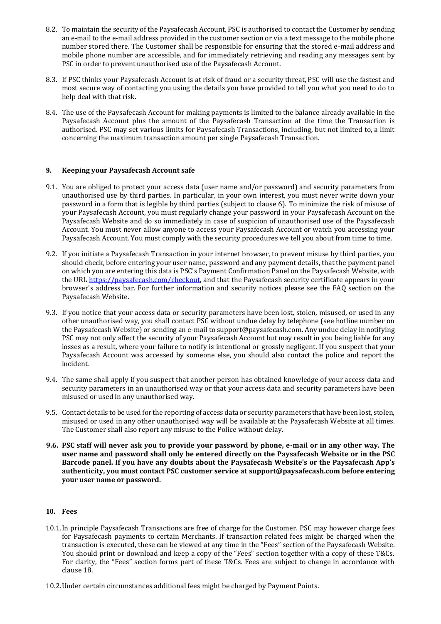- 8.2. To maintain the security of the Paysafecash Account, PSC is authorised to contact the Customer by sending an e-mail to the e-mail address provided in the customer section or via a text message to the mobile phone number stored there. The Customer shall be responsible for ensuring that the stored e-mail address and mobile phone number are accessible, and for immediately retrieving and reading any messages sent by PSC in order to prevent unauthorised use of the Paysafecash Account.
- 8.3. If PSC thinks your Paysafecash Account is at risk of fraud or a security threat, PSC will use the fastest and most secure way of contacting you using the details you have provided to tell you what you need to do to help deal with that risk.
- 8.4. The use of the Paysafecash Account for making payments is limited to the balance already available in the Paysafecash Account plus the amount of the Paysafecash Transaction at the time the Transaction is authorised. PSC may set various limits for Paysafecash Transactions, including, but not limited to, a limit concerning the maximum transaction amount per single Paysafecash Transaction.

## **9. Keeping your Paysafecash Account safe**

- <span id="page-4-1"></span>9.1. You are obliged to protect your access data (user name and/or password) and security parameters from unauthorised use by third parties. In particular, in your own interest, you must never write down your password in a form that is legible by third parties (subject to clause 6). To minimize the risk of misuse of your Paysafecash Account, you must regularly change your password in your Paysafecash Account on the Paysafecash Website and do so immediately in case of suspicion of unauthorised use of the Paysafecash Account. You must never allow anyone to access your Paysafecash Account or watch you accessing your Paysafecash Account. You must comply with the security procedures we tell you about from time to time.
- 9.2. If you initiate a Paysafecash Transaction in your internet browser, to prevent misuse by third parties, you should check, before entering your user name, password and any payment details, that the payment panel on which you are entering this data is PSC's Payment Confirmation Panel on the Paysafecash Website, with the URL [https://paysafecash.com/checkout,](https://paysafecash.com/checkout) and that the Paysafecash security certificate appears in your browser's address bar. For further information and security notices please see the FAQ section on the Paysafecash Website.
- <span id="page-4-0"></span>9.3. If you notice that your access data or security parameters have been lost, stolen, misused, or used in any other unauthorised way, you shall contact PSC without undue delay by telephone (see hotline number on the Paysafecash Website) or sending an e-mail t[o support@paysafecash.com.](mailto:support@paysafecash.com) Any undue delay in notifying PSC may not only affect the security of your Paysafecash Account but may result in you being liable for any losses as a result, where your failure to notify is intentional or grossly negligent. If you suspect that your Paysafecash Account was accessed by someone else, you should also contact the police and report the incident.
- 9.4. The same shall apply if you suspect that another person has obtained knowledge of your access data and security parameters in an unauthorised way or that your access data and security parameters have been misused or used in any unauthorised way.
- 9.5. Contact details to be used for the reporting of access data or security parameters that have been lost, stolen, misused or used in any other unauthorised way will be available at the Paysafecash Website at all times. The Customer shall also report any misuse to the Police without delay.
- **9.6. PSC staff will never ask you to provide your password by phone, e-mail or in any other way. The user name and password shall only be entered directly on the Paysafecash Website or in the PSC Barcode panel. If you have any doubts about the Paysafecash Website's or the Paysafecash App's authenticity, you must contact PSC customer service at [support@paysafecash.com](mailto:support@paysafecash.com) before entering your user name or password.**

#### **10. Fees**

- 10.1.In principle Paysafecash Transactions are free of charge for the Customer. PSC may however charge fees for Paysafecash payments to certain Merchants. If transaction related fees might be charged when the transaction is executed, these can be viewed at any time in the "Fees" section of the Paysafecash Website. You should print or download and keep a copy of the "Fees" section together with a copy of these T&Cs. For clarity, the "Fees" section forms part of these T&Cs. Fees are subject to change in accordance with claus[e 18.](#page-8-0)
- 10.2.Under certain circumstances additional fees might be charged by Payment Points.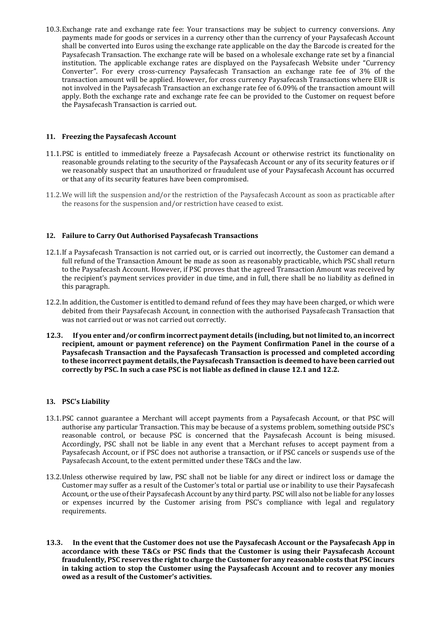10.3.Exchange rate and exchange rate fee: Your transactions may be subject to currency conversions. Any payments made for goods or services in a currency other than the currency of your Paysafecash Account shall be converted into Euros using the exchange rate applicable on the day the Barcode is created for the Paysafecash Transaction. The exchange rate will be based on a wholesale exchange rate set by a financial institution. The applicable exchange rates are displayed on the Paysafecash Website under ["Currency](https://www.paysafecash.com/currency-calculator/)  [Converter](https://www.paysafecash.com/currency-calculator/)". For every cross-currency Paysafecash Transaction an exchange rate fee of 3% of the transaction amount will be applied. However, for cross currency Paysafecash Transactions where EUR is not involved in the Paysafecash Transaction an exchange rate fee of 6.09% of the transaction amount will apply. Both the exchange rate and exchange rate fee can be provided to the Customer on request before the Paysafecash Transaction is carried out.

## **11. Freezing the Paysafecash Account**

- 11.1.PSC is entitled to immediately freeze a Paysafecash Account or otherwise restrict its functionality on reasonable grounds relating to the security of the Paysafecash Account or any of its security features or if we reasonably suspect that an unauthorized or fraudulent use of your Paysafecash Account has occurred or that any of its security features have been compromised.
- 11.2.We will lift the suspension and/or the restriction of the Paysafecash Account as soon as practicable after the reasons for the suspension and/or restriction have ceased to exist.

#### **12. Failure to Carry Out Authorised Paysafecash Transactions**

- <span id="page-5-0"></span>12.1.If a Paysafecash Transaction is not carried out, or is carried out incorrectly, the Customer can demand a full refund of the Transaction Amount be made as soon as reasonably practicable, which PSC shall return to the Paysafecash Account. However, if PSC proves that the agreed Transaction Amount was received by the recipient's payment services provider in due time, and in full, there shall be no liability as defined in this paragraph.
- <span id="page-5-1"></span>12.2.In addition, the Customer is entitled to demand refund of fees they may have been charged, or which were debited from their Paysafecash Account, in connection with the authorised Paysafecash Transaction that was not carried out or was not carried out correctly.
- **12.3. If you enter and/or confirm incorrect payment details (including, but not limited to, an incorrect recipient, amount or payment reference) on the Payment Confirmation Panel in the course of a Paysafecash Transaction and the Paysafecash Transaction is processed and completed according to these incorrect payment details, the Paysafecash Transaction is deemed to have been carried out correctly by PSC. In such a case PSC is not liable as defined in clause [12.1](#page-5-0) and [12.2.](#page-5-1)**

#### **13. PSC's Liability**

- 13.1.PSC cannot guarantee a Merchant will accept payments from a Paysafecash Account, or that PSC will authorise any particular Transaction. This may be because of a systems problem, something outside PSC's reasonable control, or because PSC is concerned that the Paysafecash Account is being misused. Accordingly, PSC shall not be liable in any event that a Merchant refuses to accept payment from a Paysafecash Account, or if PSC does not authorise a transaction, or if PSC cancels or suspends use of the Paysafecash Account, to the extent permitted under these T&Cs and the law.
- 13.2.Unless otherwise required by law, PSC shall not be liable for any direct or indirect loss or damage the Customer may suffer as a result of the Customer's total or partial use or inability to use their Paysafecash Account, or the use of their Paysafecash Account by any third party. PSC will also not be liable for any losses or expenses incurred by the Customer arising from PSC's compliance with legal and regulatory requirements.
- **13.3. In the event that the Customer does not use the Paysafecash Account or the Paysafecash App in accordance with these T&Cs or PSC finds that the Customer is using their Paysafecash Account fraudulently, PSC reserves the right to charge the Customer for any reasonable costs that PSC incurs in taking action to stop the Customer using the Paysafecash Account and to recover any monies owed as a result of the Customer's activities.**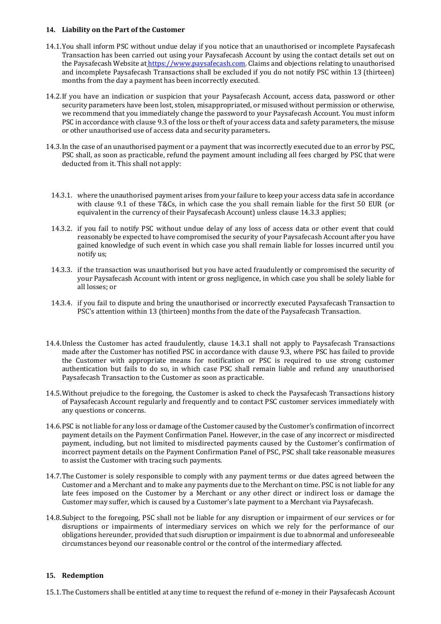#### **14. Liability on the Part of the Customer**

- 14.1.You shall inform PSC without undue delay if you notice that an unauthorised or incomplete Paysafecash Transaction has been carried out using your Paysafecash Account by using the contact details set out on the Paysafecash Website at [https://www.paysafecash.com.](https://www.paysafecash.com/) Claims and objections relating to unauthorised and incomplete Paysafecash Transactions shall be excluded if you do not notify PSC within 13 (thirteen) months from the day a payment has been incorrectly executed.
- 14.2.If you have an indication or suspicion that your Paysafecash Account, access data, password or other security parameters have been lost, stolen, misappropriated, or misused without permission or otherwise, we recommend that you immediately change the password to your Paysafecash Account. You must inform PSC in accordance with claus[e 9.3](#page-4-0) of the loss or theft of your access data and safety parameters, the misuse or other unauthorised use of access data and security parameters**.**
- <span id="page-6-1"></span>14.3.In the case of an unauthorised payment or a payment that was incorrectly executed due to an error by PSC, PSC shall, as soon as practicable, refund the payment amount including all fees charged by PSC that were deducted from it. This shall not apply:
	- 14.3.1. where the unauthorised payment arises from your failure to keep your access data safe in accordance with clause [9.1](#page-4-1) of these T&Cs, in which case the you shall remain liable for the first 50 EUR (or equivalent in the currency of their Paysafecash Account) unless claus[e 14.3.3](#page-6-0) applies;
	- 14.3.2. if you fail to notify PSC without undue delay of any loss of access data or other event that could reasonably be expected to have compromised the security of your Paysafecash Account after you have gained knowledge of such event in which case you shall remain liable for losses incurred until you notify us;
	- 14.3.3. if the transaction was unauthorised but you have acted fraudulently or compromised the security of your Paysafecash Account with intent or gross negligence, in which case you shall be solely liable for all losses; or
	- 14.3.4. if you fail to dispute and bring the unauthorised or incorrectly executed Paysafecash Transaction to PSC's attention within 13 (thirteen) months from the date of the Paysafecash Transaction.
- <span id="page-6-0"></span>14.4.Unless the Customer has acted fraudulently, clause [14.3.1](#page-6-1) shall not apply to Paysafecash Transactions made after the Customer has notified PSC in accordance with claus[e 9.3,](#page-4-0) where PSC has failed to provide the Customer with appropriate means for notification or PSC is required to use strong customer authentication but fails to do so, in which case PSC shall remain liable and refund any unauthorised Paysafecash Transaction to the Customer as soon as practicable.
- 14.5.Without prejudice to the foregoing, the Customer is asked to check the Paysafecash Transactions history of Paysafecash Account regularly and frequently and to contact PSC customer services immediately with any questions or concerns.
- 14.6.PSC is not liable for any loss or damage of the Customer caused by the Customer's confirmation of incorrect payment details on the Payment Confirmation Panel. However, in the case of any incorrect or misdirected payment, including, but not limited to misdirected payments caused by the Customer's confirmation of incorrect payment details on the Payment Confirmation Panel of PSC, PSC shall take reasonable measures to assist the Customer with tracing such payments.
- 14.7.The Customer is solely responsible to comply with any payment terms or due dates agreed between the Customer and a Merchant and to make any payments due to the Merchant on time. PSC is not liable for any late fees imposed on the Customer by a Merchant or any other direct or indirect loss or damage the Customer may suffer, which is caused by a Customer's late payment to a Merchant via Paysafecash.
- 14.8.Subject to the foregoing, PSC shall not be liable for any disruption or impairment of our services or for disruptions or impairments of intermediary services on which we rely for the performance of our obligations hereunder, provided that such disruption or impairment is due to abnormal and unforeseeable circumstances beyond our reasonable control or the control of the intermediary affected.

# <span id="page-6-2"></span>**15. Redemption**

15.1.The Customers shall be entitled at any time to request the refund of e-money in their Paysafecash Account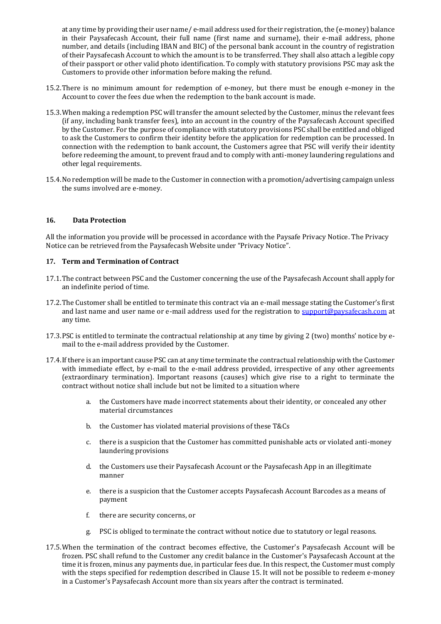at any time by providing their user name/ e-mail address used for their registration, the (e-money) balance in their Paysafecash Account, their full name (first name and surname), their e-mail address, phone number, and details (including IBAN and BIC) of the personal bank account in the country of registration of their Paysafecash Account to which the amount is to be transferred. They shall also attach a legible copy of their passport or other valid photo identification. To comply with statutory provisions PSC may ask the Customers to provide other information before making the refund.

- 15.2.There is no minimum amount for redemption of e-money, but there must be enough e-money in the Account to cover the fees due when the redemption to the bank account is made.
- 15.3.When making a redemption PSC will transfer the amount selected by the Customer, minus the relevant fees (if any, including bank transfer fees), into an account in the country of the Paysafecash Account specified by the Customer. For the purpose of compliance with statutory provisions PSC shall be entitled and obliged to ask the Customers to confirm their identity before the application for redemption can be processed. In connection with the redemption to bank account, the Customers agree that PSC will verify their identity before redeeming the amount, to prevent fraud and to comply with anti-money laundering regulations and other legal requirements.
- 15.4.No redemption will be made to the Customer in connection with a promotion/advertising campaign unless the sums involved are e-money.

#### **16. Data Protection**

All the information you provide will be processed in accordance with the Paysafe Privacy Notice. The Privacy Notice can be retrieved from the Paysafecash Website under "Privacy Notice".

#### <span id="page-7-0"></span>**17. Term and Termination of Contract**

- 17.1.The contract between PSC and the Customer concerning the use of the Paysafecash Account shall apply for an indefinite period of time.
- 17.2.The Customer shall be entitled to terminate this contract via an e-mail message stating the Customer's first and last name and user name or e-mail address used for the registration to [support@paysafecash.com](mailto:support@paysafecash.com) at any time.
- 17.3.PSC is entitled to terminate the contractual relationship at any time by giving 2 (two) months' notice by email to the e-mail address provided by the Customer.
- 17.4.If there is an important cause PSC can at any time terminate the contractual relationship with the Customer with immediate effect, by e-mail to the e-mail address provided, irrespective of any other agreements (extraordinary termination). Important reasons (causes) which give rise to a right to terminate the contract without notice shall include but not be limited to a situation where
	- a. the Customers have made incorrect statements about their identity, or concealed any other material circumstances
	- b. the Customer has violated material provisions of these T&Cs
	- c. there is a suspicion that the Customer has committed punishable acts or violated anti-money laundering provisions
	- d. the Customers use their Paysafecash Account or the Paysafecash App in an illegitimate manner
	- e. there is a suspicion that the Customer accepts Paysafecash Account Barcodes as a means of payment
	- f. there are security concerns, or
	- g. PSC is obliged to terminate the contract without notice due to statutory or legal reasons.
- 17.5.When the termination of the contract becomes effective, the Customer's Paysafecash Account will be frozen. PSC shall refund to the Customer any credit balance in the Customer's Paysafecash Account at the time it is frozen, minus any payments due, in particular fees due. In this respect, the Customer must comply with the steps specified for redemption described in Clause [15.](#page-6-2) It will not be possible to redeem e-money in a Customer's Paysafecash Account more than six years after the contract is terminated.